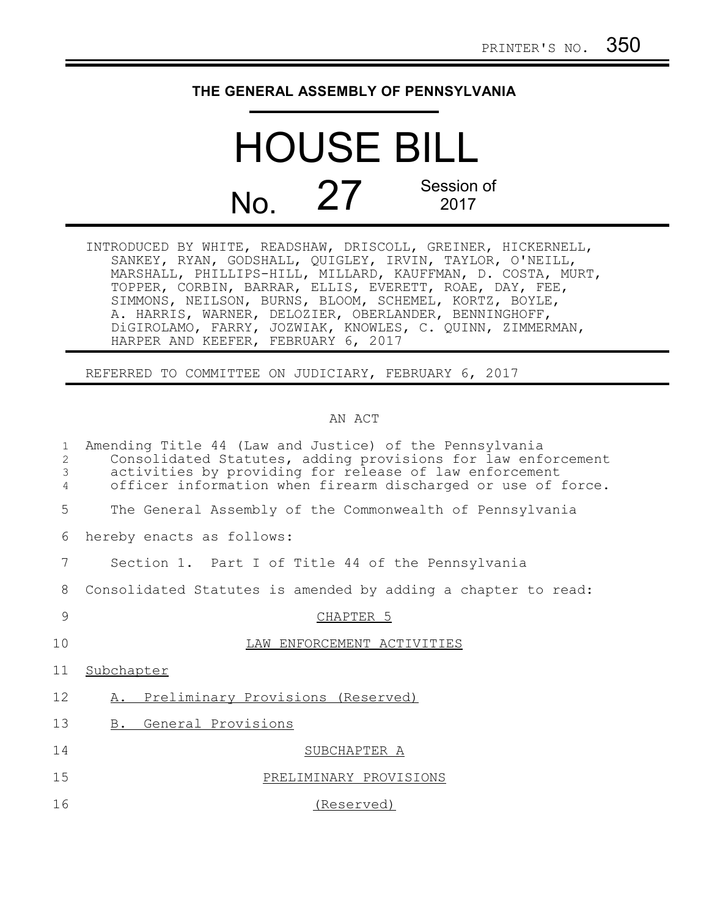## **THE GENERAL ASSEMBLY OF PENNSYLVANIA**

## HOUSE BILL  $N<sub>0</sub>$ ,  $27<sub>2017</sub>$  Session of 2017

INTRODUCED BY WHITE, READSHAW, DRISCOLL, GREINER, HICKERNELL, SANKEY, RYAN, GODSHALL, QUIGLEY, IRVIN, TAYLOR, O'NEILL, MARSHALL, PHILLIPS-HILL, MILLARD, KAUFFMAN, D. COSTA, MURT, TOPPER, CORBIN, BARRAR, ELLIS, EVERETT, ROAE, DAY, FEE, SIMMONS, NEILSON, BURNS, BLOOM, SCHEMEL, KORTZ, BOYLE, A. HARRIS, WARNER, DELOZIER, OBERLANDER, BENNINGHOFF, DiGIROLAMO, FARRY, JOZWIAK, KNOWLES, C. QUINN, ZIMMERMAN, HARPER AND KEEFER, FEBRUARY 6, 2017

REFERRED TO COMMITTEE ON JUDICIARY, FEBRUARY 6, 2017

## AN ACT

| $\mathbf{1}$<br>2<br>$\mathfrak{Z}$<br>$\overline{4}$ | Amending Title 44 (Law and Justice) of the Pennsylvania<br>Consolidated Statutes, adding provisions for law enforcement<br>activities by providing for release of law enforcement<br>officer information when firearm discharged or use of force. |
|-------------------------------------------------------|---------------------------------------------------------------------------------------------------------------------------------------------------------------------------------------------------------------------------------------------------|
| 5                                                     | The General Assembly of the Commonwealth of Pennsylvania                                                                                                                                                                                          |
| 6                                                     | hereby enacts as follows:                                                                                                                                                                                                                         |
| 7                                                     | Section 1. Part I of Title 44 of the Pennsylvania                                                                                                                                                                                                 |
| 8                                                     | Consolidated Statutes is amended by adding a chapter to read:                                                                                                                                                                                     |
| 9                                                     | CHAPTER <sub>5</sub>                                                                                                                                                                                                                              |
| 10                                                    | LAW ENFORCEMENT ACTIVITIES                                                                                                                                                                                                                        |
| 11                                                    | Subchapter                                                                                                                                                                                                                                        |
| 12                                                    | A. Preliminary Provisions (Reserved)                                                                                                                                                                                                              |
| 13                                                    | General Provisions<br>B.                                                                                                                                                                                                                          |
| 14                                                    | SUBCHAPTER A                                                                                                                                                                                                                                      |
| 15                                                    | PRELIMINARY PROVISIONS                                                                                                                                                                                                                            |
| 16                                                    | (Reserved)                                                                                                                                                                                                                                        |
|                                                       |                                                                                                                                                                                                                                                   |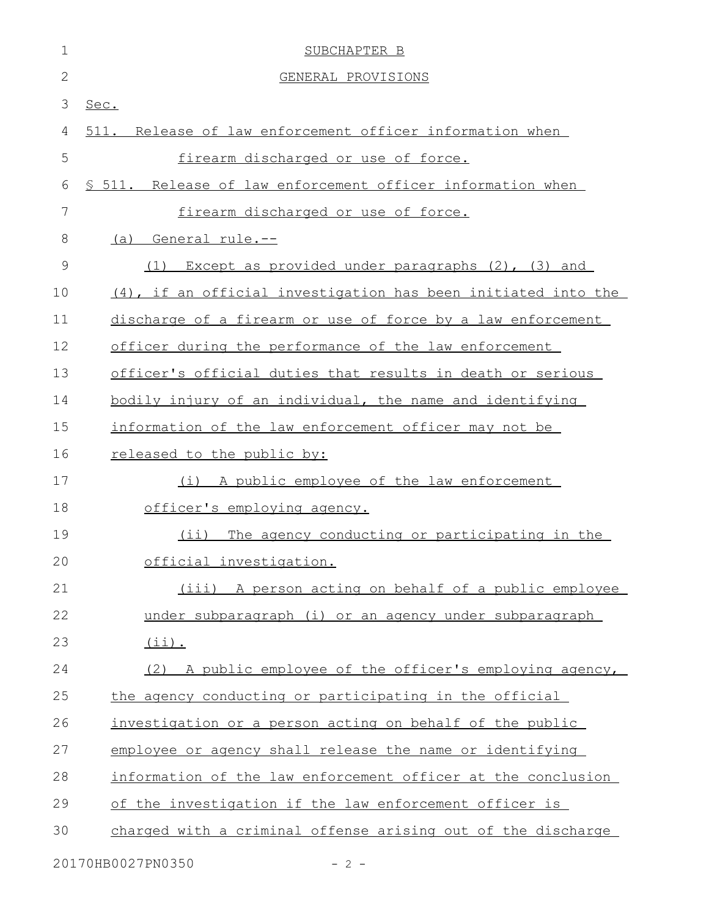| 1            | SUBCHAPTER B                                                  |
|--------------|---------------------------------------------------------------|
| $\mathbf{2}$ | GENERAL PROVISIONS                                            |
| 3            | Sec.                                                          |
| 4            | 511. Release of law enforcement officer information when      |
| 5            | firearm discharged or use of force.                           |
| 6            | \$ 511. Release of law enforcement officer information when   |
| 7            | firearm discharged or use of force.                           |
| 8            | General rule.--<br>(a)                                        |
| $\mathsf 9$  | Except as provided under paragraphs $(2)$ , $(3)$ and<br>(1)  |
| 10           | (4), if an official investigation has been initiated into the |
| 11           | discharge of a firearm or use of force by a law enforcement   |
| 12           | officer during the performance of the law enforcement         |
| 13           | officer's official duties that results in death or serious    |
| 14           | bodily injury of an individual, the name and identifying      |
| 15           | information of the law enforcement officer may not be         |
| 16           | released to the public by:                                    |
| 17           | (i) A public employee of the law enforcement                  |
| 18           | officer's employing agency.                                   |
| 19           | (ii) The agency conducting or participating in the            |
| 20           | official investigation.                                       |
| 21           | (iii) A person acting on behalf of a public employee          |
| 22           | under subparagraph (i) or an agency under subparagraph        |
| 23           | $(i)$ .                                                       |
| 24           | (2) A public employee of the officer's employing agency,      |
| 25           | the agency conducting or participating in the official        |
| 26           | investigation or a person acting on behalf of the public      |
| 27           | employee or agency shall release the name or identifying      |
| 28           | information of the law enforcement officer at the conclusion  |
| 29           | of the investigation if the law enforcement officer is        |
| 30           | charged with a criminal offense arising out of the discharge  |
|              | 20170HB0027PN0350<br>$-2-$                                    |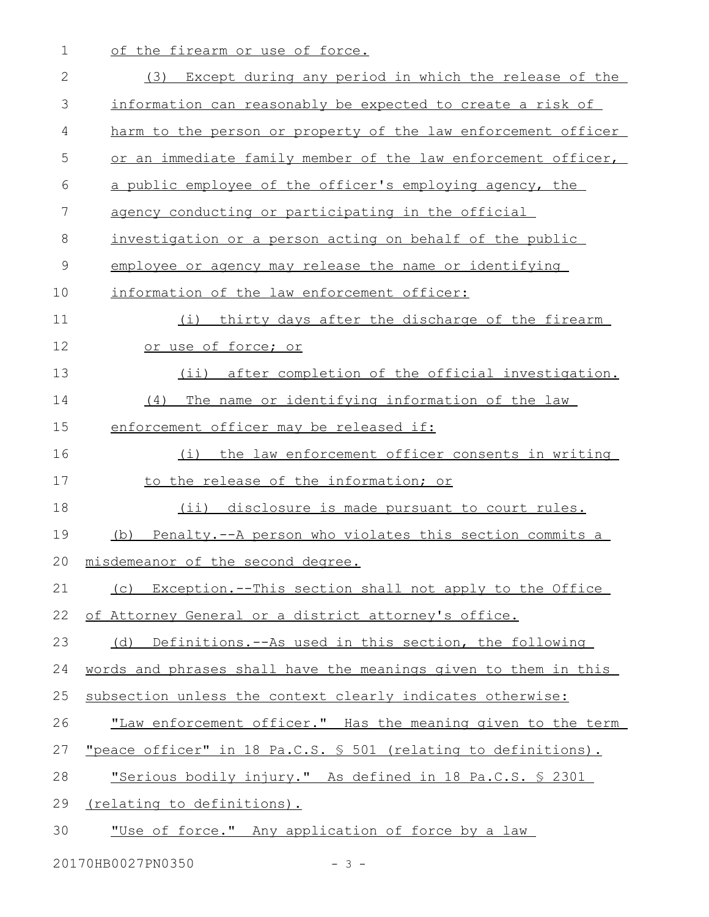1 of the firearm or use of force.

| 2             | Except during any period in which the release of the<br>(3)           |
|---------------|-----------------------------------------------------------------------|
| 3             | information can reasonably be expected to create a risk of            |
| 4             | harm to the person or property of the law enforcement officer         |
| 5             | or an immediate family member of the law enforcement officer,         |
| 6             | a public employee of the officer's employing agency, the              |
| 7             | agency conducting or participating in the official                    |
| 8             | investigation or a person acting on behalf of the public              |
| $\mathcal{G}$ | employee or agency may release the name or identifying                |
| 10            | information of the law enforcement officer:                           |
| 11            | thirty days after the discharge of the firearm<br>(i)                 |
| 12            | or use of force; or                                                   |
| 13            | (ii) after completion of the official investigation.                  |
| 14            | The name or identifying information of the law<br>(4)                 |
| 15            | enforcement officer may be released if:                               |
| 16            | the law enforcement officer consents in writing<br>(i)                |
| 17            | to the release of the information; or                                 |
| 18            | $(i$ ii)<br>disclosure is made pursuant to court rules.               |
| 19            | Penalty.--A person who violates this section commits a<br>(b)         |
| 20            | misdemeanor of the second degree.                                     |
| 21            | Exception.--This section shall not apply to the Office<br>(C)         |
| 22            | of Attorney General or a district attorney's office.                  |
| 23            | Definitions.--As used in this section, the following<br>(d)           |
| 24            | words and phrases shall have the meanings given to them in this       |
| 25            | subsection unless the context clearly indicates otherwise:            |
| 26            | "Law enforcement officer." Has the meaning given to the term          |
| 27            | <u>"peace officer" in 18 Pa.C.S. § 501 (relating to definitions).</u> |
| 28            | "Serious bodily injury." As defined in 18 Pa.C.S. § 2301              |
| 29            | <u>(relating to definitions).</u>                                     |
| 30            | "Use of force." Any application of force by a law                     |
|               |                                                                       |

20170HB0027PN0350 - 3 -